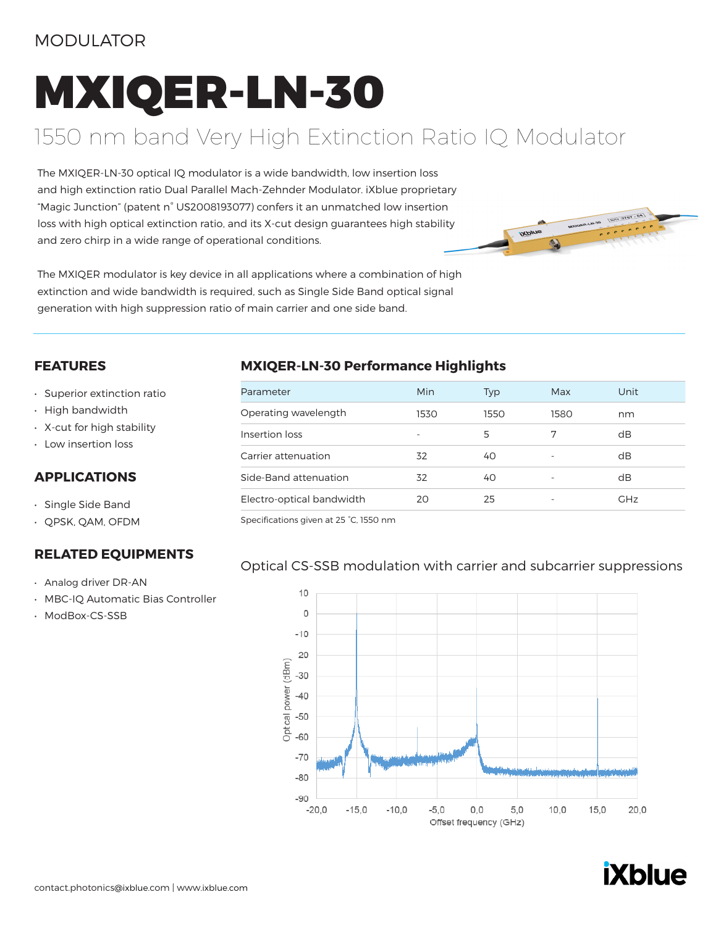### MODULATOR

# MXIQER-LN-30

## 1550 nm band Very High Extinction Ratio IQ Modulator

The MXIQER-LN-30 optical IQ modulator is a wide bandwidth, low insertion loss and high extinction ratio Dual Parallel Mach-Zehnder Modulator. iXblue proprietary "Magic Junction" (patent n° US2008193077) confers it an unmatched low insertion loss with high optical extinction ratio, and its X-cut design guarantees high stability and zero chirp in a wide range of operational conditions.



The MXIQER modulator is key device in all applications where a combination of high extinction and wide bandwidth is required, such as Single Side Band optical signal generation with high suppression ratio of main carrier and one side band.

#### **FEATURES**

- Superior extinction ratio
- High bandwidth
- X-cut for high stability
- Low insertion loss

#### **APPLICATIONS**

- Single Side Band
- QPSK, QAM, OFDM

#### **RELATED EQUIPMENTS**

- Analog driver DR-AN
- MBC-IQ Automatic Bias Controller
- ModBox-CS-SSB

#### **MXIQER-LN-30 Performance Highlights**

| Parameter                 | Min                      | Typ  | Max                      | Unit       |
|---------------------------|--------------------------|------|--------------------------|------------|
| Operating wavelength      | 1530                     | 1550 | 1580                     | nm         |
| Insertion loss            | $\overline{\phantom{0}}$ | 5    | 7                        | dB         |
| Carrier attenuation       | 32                       | 40   |                          | dB         |
| Side-Band attenuation     | 32                       | 40   |                          | dB         |
| Electro-optical bandwidth | 20                       | 25   | $\overline{\phantom{0}}$ | <b>GHz</b> |

Specifications given at 25 °C, 1550 nm

#### Optical CS-SSB modulation with carrier and subcarrier suppressions



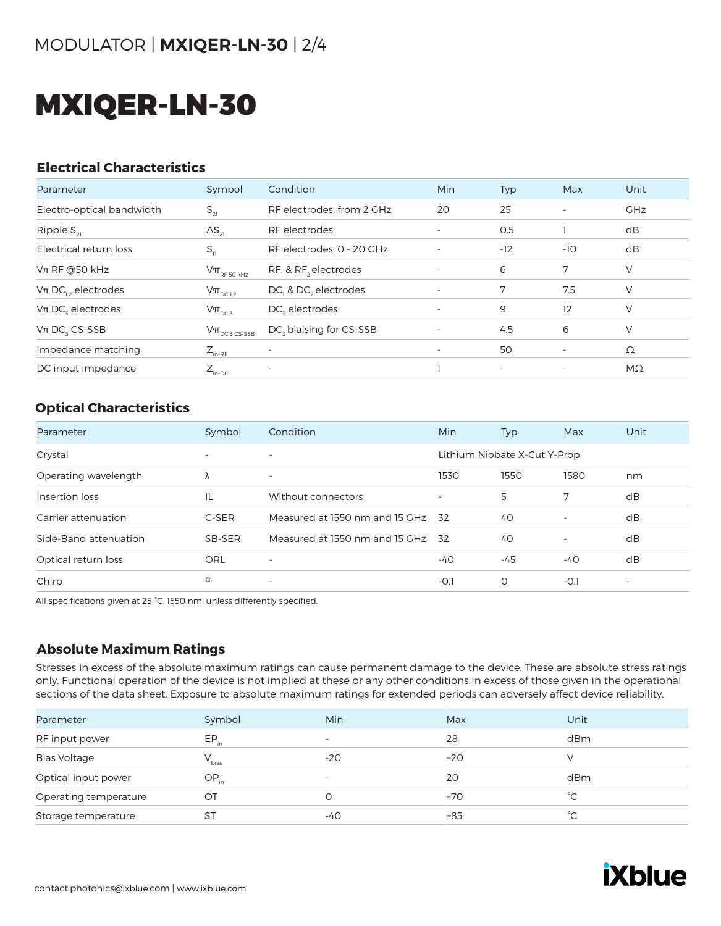# MXIQER-LN-30

#### **Electrical Characteristics**

| Parameter                 | Symbol                                                                              | Condition                           | <b>Min</b>               | Typ                      | Max                      | Unit       |
|---------------------------|-------------------------------------------------------------------------------------|-------------------------------------|--------------------------|--------------------------|--------------------------|------------|
| Electro-optical bandwidth | $S_{21}$                                                                            | RF electrodes, from 2 GHz           | 20                       | 25                       | $\overline{\phantom{a}}$ | <b>GHz</b> |
| Ripple $S_{21}$           | $\Delta S_{21}$                                                                     | RF electrodes                       |                          | 0.5                      |                          | dB         |
| Electrical return loss    | $S_{11}$                                                                            | RF electrodes, 0 - 20 GHz           |                          | $-12$                    | $-10$                    | dB         |
| $Vπ$ RF @50 kHz           | $\mathsf{V}\pi_{\scriptscriptstyle\mathrm{RF}\,50\,\scriptscriptstyle\mathrm{kHz}}$ | RF, & RF, electrodes                |                          | 6                        | 7                        | V          |
| $Vπ DC12$ electrodes      | $V\pi$ <sub>DC 1,2</sub>                                                            | DC, & DC, electrodes                | $\overline{\phantom{a}}$ | 7                        | 7.5                      | V          |
| $Vπ DCz$ electrodes       | $V\pi_{DC3}$                                                                        | DC, electrodes                      | $\overline{\phantom{a}}$ | 9                        | 12                       | V          |
| $Vπ DCz CS-SSB$           | $\mathsf{V}\pi_{\scriptscriptstyle{\mathsf{DC}}\,3\,\mathsf{CS}\text{-SSB}}$        | DC <sub>z</sub> biaising for CS-SSB |                          | 4.5                      | 6                        | V          |
| Impedance matching        | $Z_{_{\text{in-RF}}}$                                                               |                                     | $\overline{\phantom{a}}$ | 50                       | $\overline{\phantom{a}}$ | Ω          |
| DC input impedance        | $Z_{\text{in-DC}}$                                                                  | $\overline{\phantom{a}}$            |                          | $\overline{\phantom{a}}$ | $\overline{\phantom{a}}$ | $M\Omega$  |

#### **Optical Characteristics**

| Parameter             | Symbol                   | Condition                      | Min                      | <b>Typ</b>                   | Max                      | Unit                     |
|-----------------------|--------------------------|--------------------------------|--------------------------|------------------------------|--------------------------|--------------------------|
| Crystal               | $\overline{\phantom{a}}$ | $\overline{\phantom{0}}$       |                          | Lithium Niobate X-Cut Y-Prop |                          |                          |
| Operating wavelength  | Λ                        | $\overline{\phantom{a}}$       | 1530                     | 1550                         | 1580                     | nm                       |
| Insertion loss        | IL                       | Without connectors             | $\overline{\phantom{a}}$ | 5                            | 7                        | dB                       |
| Carrier attenuation   | C-SER                    | Measured at 1550 nm and 15 GHz | -32                      | 40                           | $\overline{\phantom{a}}$ | dB                       |
| Side-Band attenuation | SB-SER                   | Measured at 1550 nm and 15 GHz | -32                      | 40                           | $\overline{\phantom{a}}$ | dB                       |
| Optical return loss   | ORL                      | $\overline{\phantom{a}}$       | -40                      | -45                          | -40                      | dB                       |
| Chirp                 | α                        | $\overline{\phantom{a}}$       | $-0.1$                   | 0                            | $-O.1$                   | $\overline{\phantom{a}}$ |

All specifications given at 25 °C, 1550 nm, unless differently specified.

#### **Absolute Maximum Ratings**

Stresses in excess of the absolute maximum ratings can cause permanent damage to the device. These are absolute stress ratings only. Functional operation of the device is not implied at these or any other conditions in excess of those given in the operational sections of the data sheet. Exposure to absolute maximum ratings for extended periods can adversely affect device reliability.

| Parameter             | Symbol     | Min                      | Max   | Unit          |
|-----------------------|------------|--------------------------|-------|---------------|
| RF input power        | $EP_{in}$  | $\overline{\phantom{0}}$ | 28    | dBm           |
| <b>Bias Voltage</b>   | $V_{bias}$ | $-20$                    | $+20$ |               |
| Optical input power   | $OP_{in}$  | $\overline{\phantom{a}}$ | 20    | dBm           |
| Operating temperature | OT         |                          | $+70$ | $^{\circ}$ C. |
| Storage temperature   | ST         | -40                      | $+85$ | °С            |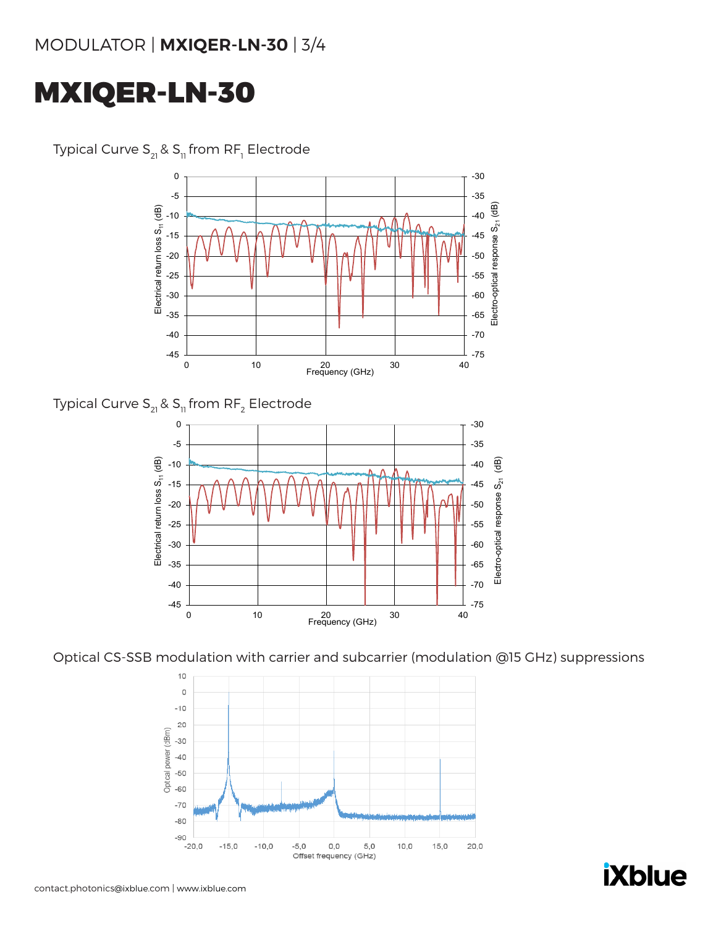# MXIQER-LN-30



Typical Curve S $_{\textrm{\tiny{21}}}$ & S $_{\textrm{\tiny{11}}}$ from RF $_{\textrm{\tiny{1}}}$  Electrode

Typical Curve  $S_{21}$  &  $S_{11}$  from RF<sub>2</sub> Electrode